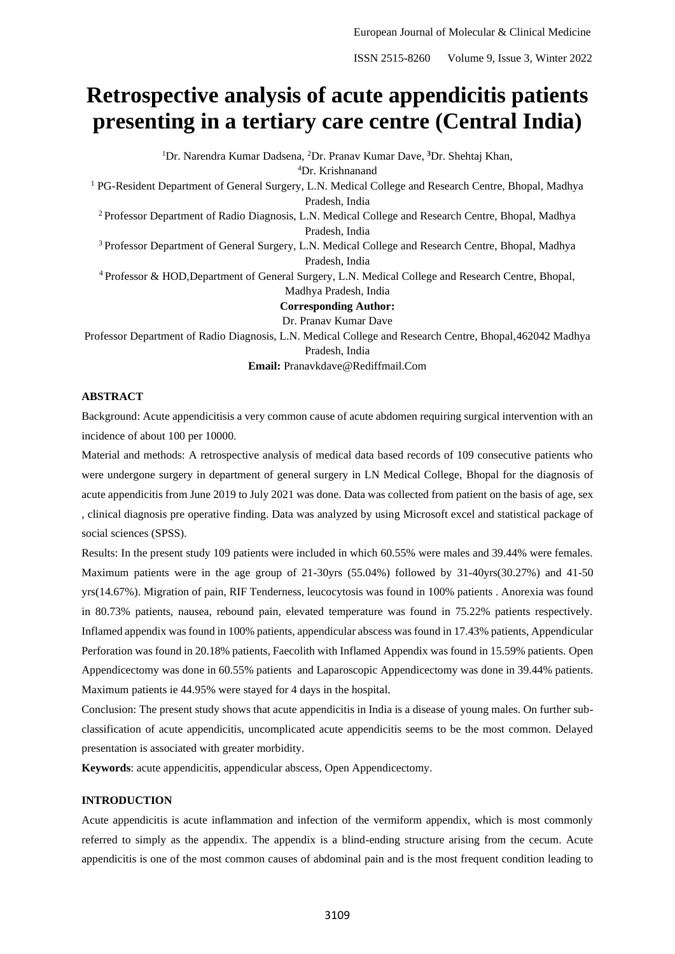# **Retrospective analysis of acute appendicitis patients presenting in a tertiary care centre (Central India)**

<sup>1</sup>Dr. Narendra Kumar Dadsena, <sup>2</sup>Dr. Pranav Kumar Dave, **<sup>3</sup>**Dr. Shehtaj Khan, <sup>4</sup>Dr. Krishnanand

<sup>1</sup> PG-Resident Department of General Surgery, L.N. Medical College and Research Centre, Bhopal, Madhya Pradesh, India

<sup>2</sup> Professor Department of Radio Diagnosis, L.N. Medical College and Research Centre, Bhopal, Madhya Pradesh, India

<sup>3</sup> Professor Department of General Surgery, L.N. Medical College and Research Centre, Bhopal, Madhya Pradesh, India

<sup>4</sup> Professor & HOD,Department of General Surgery, L.N. Medical College and Research Centre, Bhopal, Madhya Pradesh, India

**Corresponding Author:**

Dr. Pranav Kumar Dave

Professor Department of Radio Diagnosis, L.N. Medical College and Research Centre, Bhopal,462042 Madhya Pradesh, India

**Email:** Pranavkdave@Rediffmail.Com

## **ABSTRACT**

Background: Acute appendicitisis a very common cause of acute abdomen requiring surgical intervention with an incidence of about 100 per 10000.

Material and methods: A retrospective analysis of medical data based records of 109 consecutive patients who were undergone surgery in department of general surgery in LN Medical College, Bhopal for the diagnosis of acute appendicitis from June 2019 to July 2021 was done. Data was collected from patient on the basis of age, sex , clinical diagnosis pre operative finding. Data was analyzed by using Microsoft excel and statistical package of social sciences (SPSS).

Results: In the present study 109 patients were included in which 60.55% were males and 39.44% were females. Maximum patients were in the age group of 21-30yrs (55.04%) followed by 31-40yrs(30.27%) and 41-50 yrs(14.67%). Migration of pain, RIF Tenderness, leucocytosis was found in 100% patients . Anorexia was found in 80.73% patients, nausea, rebound pain, elevated temperature was found in 75.22% patients respectively. Inflamed appendix was found in 100% patients, appendicular abscess was found in 17.43% patients, Appendicular Perforation was found in 20.18% patients, Faecolith with Inflamed Appendix was found in 15.59% patients. Open Appendicectomy was done in 60.55% patients and Laparoscopic Appendicectomy was done in 39.44% patients. Maximum patients ie 44.95% were stayed for 4 days in the hospital.

Conclusion: The present study shows that acute appendicitis in India is a disease of young males. On further subclassification of acute appendicitis, uncomplicated acute appendicitis seems to be the most common. Delayed presentation is associated with greater morbidity.

**Keywords**: acute appendicitis, appendicular abscess, Open Appendicectomy.

## **INTRODUCTION**

Acute appendicitis is acute inflammation and infection of the vermiform appendix, which is most commonly referred to simply as the appendix. The appendix is a blind-ending structure arising from the cecum. Acute appendicitis is one of the most common causes of abdominal pain and is the most frequent condition leading to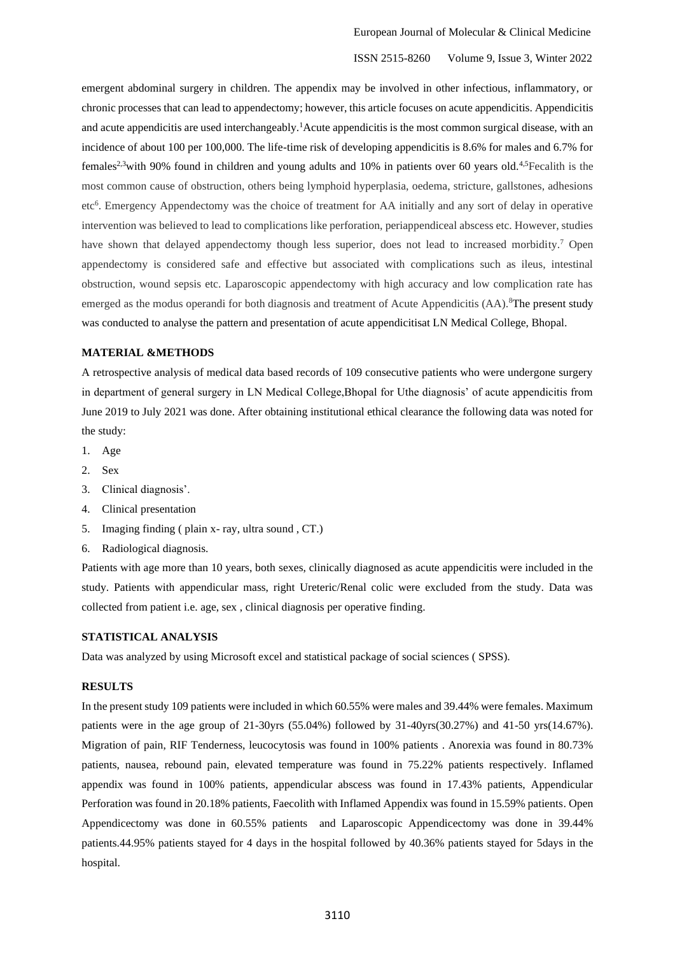emergent abdominal surgery in children. The appendix may be involved in other infectious, inflammatory, or chronic processes that can lead to appendectomy; however, this article focuses on acute appendicitis. Appendicitis and acute appendicitis are used interchangeably.<sup>1</sup>Acute appendicitis is the most common surgical disease, with an incidence of about 100 per 100,000. The life-time risk of developing appendicitis is 8.6% for males and 6.7% for females<sup>2,3</sup>with 90% found in children and young adults and 10% in patients over 60 years old.<sup>4,5</sup>Fecalith is the most common cause of obstruction, others being lymphoid hyperplasia, oedema, stricture, gallstones, adhesions etc<sup>6</sup>. Emergency Appendectomy was the choice of treatment for AA initially and any sort of delay in operative intervention was believed to lead to complications like perforation, periappendiceal abscess etc. However, studies have shown that delayed appendectomy though less superior, does not lead to increased morbidity.<sup>7</sup> Open appendectomy is considered safe and effective but associated with complications such as ileus, intestinal obstruction, wound sepsis etc. Laparoscopic appendectomy with high accuracy and low complication rate has emerged as the modus operandi for both diagnosis and treatment of Acute Appendicitis (AA).<sup>8</sup>The present study was conducted to analyse the pattern and presentation of acute appendicitisat LN Medical College, Bhopal.

## **MATERIAL &METHODS**

A retrospective analysis of medical data based records of 109 consecutive patients who were undergone surgery in department of general surgery in LN Medical College,Bhopal for Uthe diagnosis' of acute appendicitis from June 2019 to July 2021 was done. After obtaining institutional ethical clearance the following data was noted for the study:

- 1. Age
- 2. Sex
- 3. Clinical diagnosis'.
- 4. Clinical presentation
- 5. Imaging finding ( plain x- ray, ultra sound , CT.)
- 6. Radiological diagnosis.

Patients with age more than 10 years, both sexes, clinically diagnosed as acute appendicitis were included in the study. Patients with appendicular mass, right Ureteric/Renal colic were excluded from the study. Data was collected from patient i.e. age, sex , clinical diagnosis per operative finding.

## **STATISTICAL ANALYSIS**

Data was analyzed by using Microsoft excel and statistical package of social sciences ( SPSS).

## **RESULTS**

In the present study 109 patients were included in which 60.55% were males and 39.44% were females. Maximum patients were in the age group of 21-30yrs (55.04%) followed by 31-40yrs(30.27%) and 41-50 yrs(14.67%). Migration of pain, RIF Tenderness, leucocytosis was found in 100% patients . Anorexia was found in 80.73% patients, nausea, rebound pain, elevated temperature was found in 75.22% patients respectively. Inflamed appendix was found in 100% patients, appendicular abscess was found in 17.43% patients, Appendicular Perforation was found in 20.18% patients, Faecolith with Inflamed Appendix was found in 15.59% patients. Open Appendicectomy was done in 60.55% patients and Laparoscopic Appendicectomy was done in 39.44% patients.44.95% patients stayed for 4 days in the hospital followed by 40.36% patients stayed for 5days in the hospital.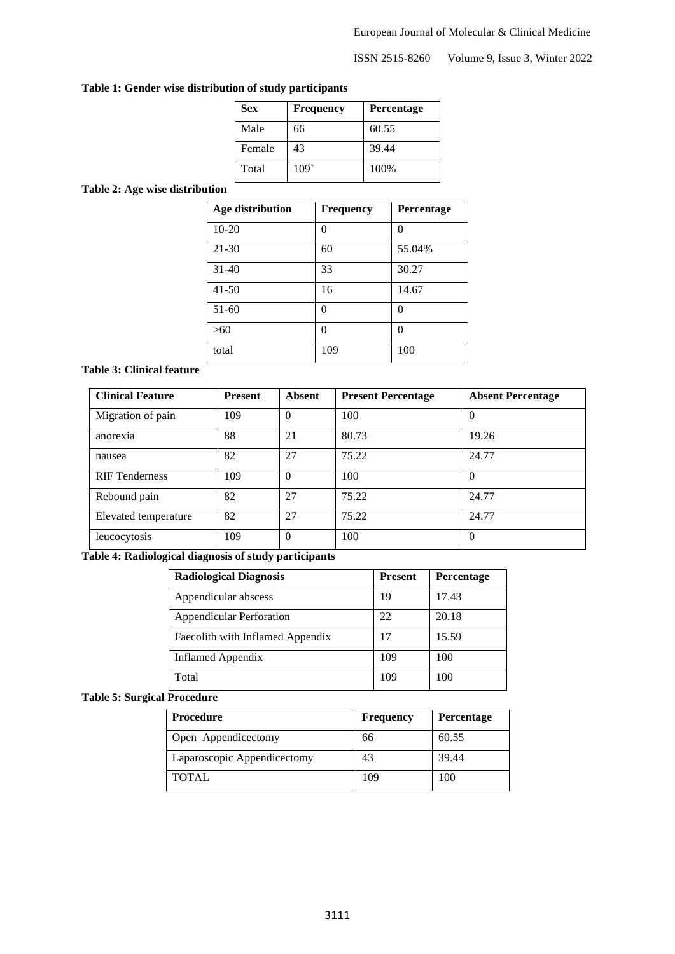## **Table 1: Gender wise distribution of study participants**

| <b>Sex</b> | <b>Frequency</b> | <b>Percentage</b> |
|------------|------------------|-------------------|
| Male       | 66               | 60.55             |
| Female     | 43               | 39.44             |
| Total      | 109              | 100%              |

## **Table 2: Age wise distribution**

| <b>Age distribution</b> | <b>Frequency</b> | Percentage |
|-------------------------|------------------|------------|
| $10 - 20$               | 0                | 0          |
| $21 - 30$               | 60               | 55.04%     |
| $31 - 40$               | 33               | 30.27      |
| $41 - 50$               | 16               | 14.67      |
| 51-60                   | 0                | 0          |
| >60                     | 0                | 0          |
| total                   | 109              | 100        |

## **Table 3: Clinical feature**

| <b>Clinical Feature</b> | <b>Present</b> | <b>Absent</b> | <b>Present Percentage</b> | <b>Absent Percentage</b> |
|-------------------------|----------------|---------------|---------------------------|--------------------------|
| Migration of pain       | 109            | $\Omega$      | 100                       | $\Omega$                 |
| anorexia                | 88             | 21            | 80.73                     | 19.26                    |
| nausea                  | 82             | 27            | 75.22                     | 24.77                    |
| <b>RIF</b> Tenderness   | 109            | $\Omega$      | 100                       | $\Omega$                 |
| Rebound pain            | 82             | 27            | 75.22                     | 24.77                    |
| Elevated temperature    | 82             | 27            | 75.22                     | 24.77                    |
| leucocytosis            | 109            | $\theta$      | 100                       | $\Omega$                 |

## **Table 4: Radiological diagnosis of study participants**

| <b>Radiological Diagnosis</b>    | <b>Present</b> | Percentage |
|----------------------------------|----------------|------------|
| Appendicular abscess             | 19             | 17.43      |
| <b>Appendicular Perforation</b>  | 22             | 20.18      |
| Faecolith with Inflamed Appendix | 17             | 15.59      |
| <b>Inflamed Appendix</b>         | 109            | 100        |
| Total                            | 109            | 100        |

## **Table 5: Surgical Procedure**

| <b>Procedure</b>            | <b>Frequency</b> | <b>Percentage</b> |
|-----------------------------|------------------|-------------------|
| Open Appendicectomy         | 66               | 60.55             |
| Laparoscopic Appendicectomy | 43               | 39.44             |
| <b>TOTAL</b>                | 109              | 100               |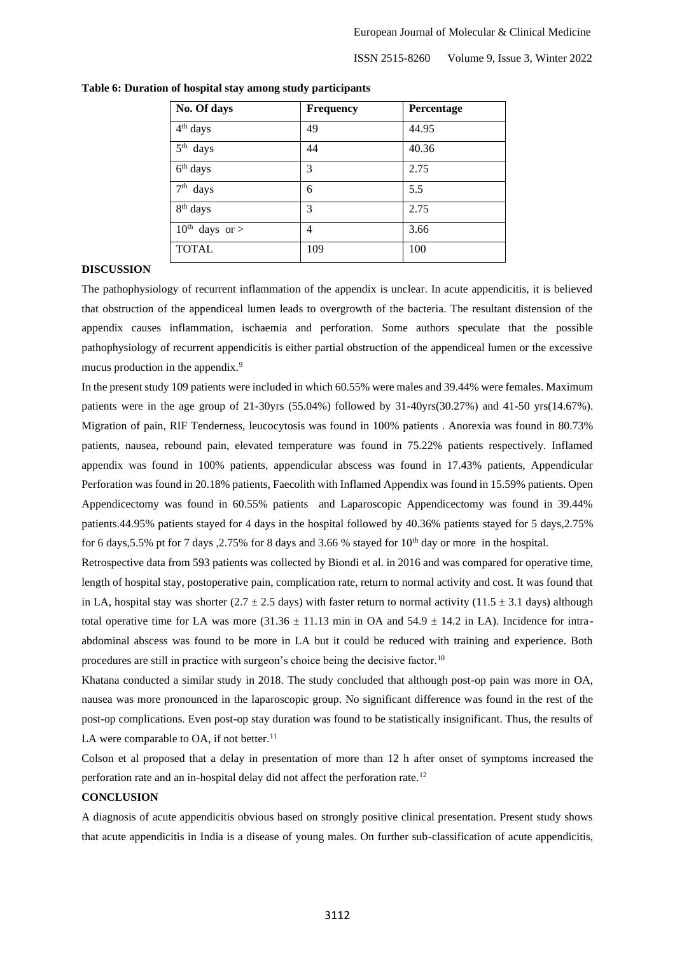| No. Of days             | <b>Frequency</b> | Percentage |
|-------------------------|------------------|------------|
| 4 <sup>th</sup> days    | 49               | 44.95      |
| 5 <sup>th</sup><br>days | 44               | 40.36      |
| $6th$ days              | 3                | 2.75       |
| 7 <sup>th</sup><br>days | 6                | 5.5        |
| 8 <sup>th</sup> days    | 3                | 2.75       |
| $10^{th}$ days or >     | 4                | 3.66       |
| <b>TOTAL</b>            | 109              | 100        |

#### **Table 6: Duration of hospital stay among study participants**

#### **DISCUSSION**

The pathophysiology of recurrent inflammation of the appendix is unclear. In acute appendicitis, it is believed that obstruction of the appendiceal lumen leads to overgrowth of the bacteria. The resultant distension of the appendix causes inflammation, ischaemia and perforation. Some authors speculate that the possible pathophysiology of recurrent appendicitis is either partial obstruction of the appendiceal lumen or the excessive mucus production in the appendix.<sup>9</sup>

In the present study 109 patients were included in which 60.55% were males and 39.44% were females. Maximum patients were in the age group of 21-30yrs (55.04%) followed by 31-40yrs(30.27%) and 41-50 yrs(14.67%). Migration of pain, RIF Tenderness, leucocytosis was found in 100% patients . Anorexia was found in 80.73% patients, nausea, rebound pain, elevated temperature was found in 75.22% patients respectively. Inflamed appendix was found in 100% patients, appendicular abscess was found in 17.43% patients, Appendicular Perforation was found in 20.18% patients, Faecolith with Inflamed Appendix was found in 15.59% patients. Open Appendicectomy was found in 60.55% patients and Laparoscopic Appendicectomy was found in 39.44% patients.44.95% patients stayed for 4 days in the hospital followed by 40.36% patients stayed for 5 days,2.75% for 6 days, 5.5% pt for 7 days , 2.75% for 8 days and 3.66% stayed for  $10<sup>th</sup>$  day or more in the hospital.

Retrospective data from 593 patients was collected by Biondi et al. in 2016 and was compared for operative time, length of hospital stay, postoperative pain, complication rate, return to normal activity and cost. It was found that in LA, hospital stay was shorter (2.7  $\pm$  2.5 days) with faster return to normal activity (11.5  $\pm$  3.1 days) although total operative time for LA was more  $(31.36 \pm 11.13 \text{ min in OA and } 54.9 \pm 14.2 \text{ in LA})$ . Incidence for intraabdominal abscess was found to be more in LA but it could be reduced with training and experience. Both procedures are still in practice with surgeon's choice being the decisive factor.<sup>10</sup>

Khatana conducted a similar study in 2018. The study concluded that although post-op pain was more in OA, nausea was more pronounced in the laparoscopic group. No significant difference was found in the rest of the post-op complications. Even post-op stay duration was found to be statistically insignificant. Thus, the results of LA were comparable to  $OA$ , if not better.<sup>11</sup>

Colson et al proposed that a delay in presentation of more than 12 h after onset of symptoms increased the perforation rate and an in-hospital delay did not affect the perforation rate.<sup>12</sup>

### **CONCLUSION**

A diagnosis of acute appendicitis obvious based on strongly positive clinical presentation. Present study shows that acute appendicitis in India is a disease of young males. On further sub-classification of acute appendicitis,